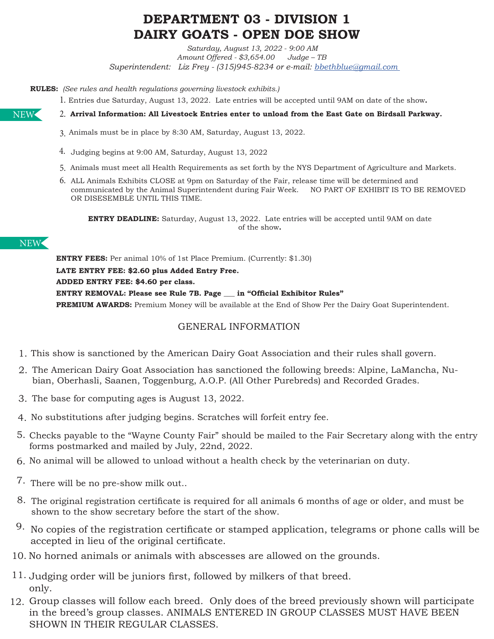# **DEPARTMENT 03 - DIVISION 1 DAIRY GOATS - OPEN DOE SHOW**

*Saturday, August 13, 2022 - 9:00 AM Amount Offered - \$3,654.00 Judge – TB Superintendent: Liz Frey - (315)945-8234 or e-mail: bbethblue@gmail.com* 

**RULES:** *(See rules and health regulations governing livestock exhibits.)* 

Entries due Saturday, August 13, 2022. Late entries will be accepted until 9AM on date of the show**.** 1.

**Arrival Information: All Livestock Entries enter to unload from the East Gate on Birdsall Parkway.** 2.

- Animals must be in place by 8:30 AM, Saturday, August 13, 2022. 3.
- Judging begins at 9:00 AM, Saturday, August 13, 2022 4.
- 5. Animals must meet all Health Requirements as set forth by the NYS Department of Agriculture and Markets.
- 6. ALL Animals Exhibits CLOSE at 9pm on Saturday of the Fair, release time will be determined and communicated by the Animal Superintendent during Fair Week. NO PART OF EXHIBIT IS TO BE REMOVED OR DISESEMBLE UNTIL THIS TIME.

**ENTRY DEADLINE:** Saturday, August 13, 2022. Late entries will be accepted until 9AM on date of the show**.**

# NEW

**ENTRY FEES:** Per animal 10% of 1st Place Premium. (Currently: \$1.30) **LATE ENTRY FEE: \$2.60 plus Added Entry Free.**

**ADDED ENTRY FEE: \$4.60 per class.** 

**ENTRY REMOVAL: Please see Rule 7B. Page \_\_\_ in "Official Exhibitor Rules"**

**PREMIUM AWARDS:** Premium Money will be available at the End of Show Per the Dairy Goat Superintendent.

# GENERAL INFORMATION

- 1. This show is sanctioned by the American Dairy Goat Association and their rules shall govern.
- The American Dairy Goat Association has sanctioned the following breeds: Alpine, LaMancha, Nu-2. bian, Oberhasli, Saanen, Toggenburg, A.O.P. (All Other Purebreds) and Recorded Grades.
- 3. The base for computing ages is August 13, 2022.
- No substitutions after judging begins. Scratches will forfeit entry fee. 4.
- 5. Checks payable to the "Wayne County Fair" should be mailed to the Fair Secretary along with the entry forms postmarked and mailed by July, 22nd, 2022.
- 6. No animal will be allowed to unload without a health check by the veterinarian on duty.
- 7. There will be no pre-show milk out..
- The original registration certificate is required for all animals 6 months of age or older, and must be 8. shown to the show secretary before the start of the show.
- $9.$  No copies of the registration certificate or stamped application, telegrams or phone calls will be accepted in lieu of the original certificate.
- 10. No horned animals or animals with abscesses are allowed on the grounds.
- 11. Judging order will be juniors first, followed by milkers of that breed. only.
- 12. Group classes will follow each breed. Only does of the breed previously shown will participate in the breed's group classes. ANIMALS ENTERED IN GROUP CLASSES MUST HAVE BEEN SHOWN IN THEIR REGULAR CLASSES.

NEW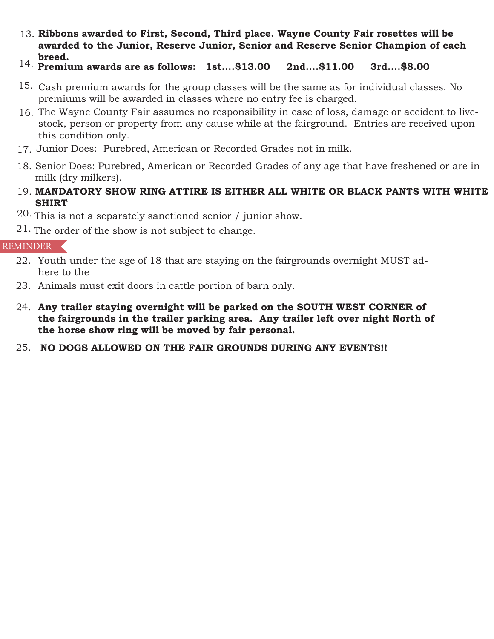- **Ribbons awarded to First, Second, Third place. Wayne County Fair rosettes will be**  13.**awarded to the Junior, Reserve Junior, Senior and Reserve Senior Champion of each breed.**
- **Premium awards are as follows: 1st....\$13.00 2nd....\$11.00 3rd....\$8.00** 14.
- Cash premium awards for the group classes will be the same as for individual classes. No 15. premiums will be awarded in classes where no entry fee is charged.
- The Wayne County Fair assumes no responsibility in case of loss, damage or accident to live-16. stock, person or property from any cause while at the fairground. Entries are received upon this condition only.
- 17. Junior Does: Purebred, American or Recorded Grades not in milk.
- 18. Senior Does: Purebred, American or Recorded Grades of any age that have freshened or are in milk (dry milkers).
- **MANDATORY SHOW RING ATTIRE IS EITHER ALL WHITE OR BLACK PANTS WITH WHITE**  19. **SHIRT**
- $20.$  This is not a separately sanctioned senior / junior show.
- $21.$  The order of the show is not subject to change.

# REMINDER

- 22. Youth under the age of 18 that are staying on the fairgrounds overnight MUST adhere to the
- 23. Animals must exit doors in cattle portion of barn only.
- **Any trailer staying overnight will be parked on the SOUTH WEST CORNER of**  24. **the fairgrounds in the trailer parking area. Any trailer left over night North of the horse show ring will be moved by fair personal.**
- **NO DOGS ALLOWED ON THE FAIR GROUNDS DURING ANY EVENTS!!** 25.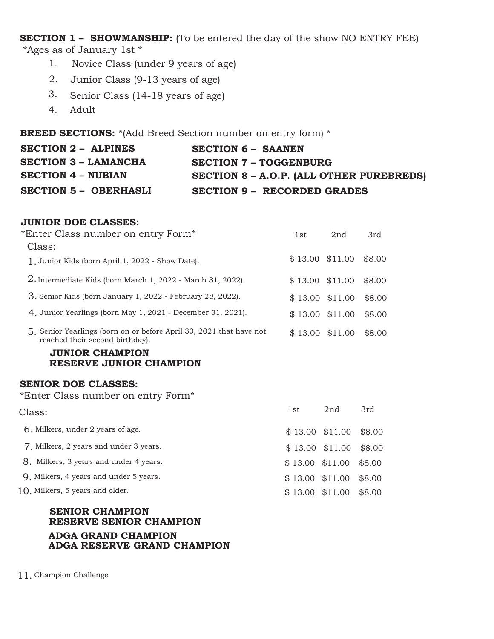**SECTION 1 – SHOWMANSHIP:** (To be entered the day of the show NO ENTRY FEE) \*Ages as of January 1st \*

- Novice Class (under 9 years of age) 1.
- Junior Class (9-13 years of age) 2.
- Senior Class (14-18 years of age) 3.
- Adult 4.

**BREED SECTIONS:** \*(Add Breed Section number on entry form) \*

| <b>SECTION 2 - ALPINES</b>   | <b>SECTION 6 - SAANEN</b>                |
|------------------------------|------------------------------------------|
| <b>SECTION 3 - LAMANCHA</b>  | <b>SECTION 7 - TOGGENBURG</b>            |
| <b>SECTION 4 - NUBIAN</b>    | SECTION 8 - A.O.P. (ALL OTHER PUREBREDS) |
| <b>SECTION 5 - OBERHASLI</b> | <b>SECTION 9 - RECORDED GRADES</b>       |

#### **JUNIOR DOE CLASSES:**

| *Enter Class number on entry Form*                                                                     |                   | 2nd | 3rd    |
|--------------------------------------------------------------------------------------------------------|-------------------|-----|--------|
| Class:                                                                                                 |                   |     |        |
| 1. Junior Kids (born April 1, 2022 - Show Date).                                                       | $$13.00$ $$11.00$ |     | \$8.00 |
| 2. Intermediate Kids (born March 1, 2022 - March 31, 2022).                                            | $$13.00$ $$11.00$ |     | \$8.00 |
| 3. Senior Kids (born January 1, 2022 - February 28, 2022).                                             | $$13.00$ $$11.00$ |     | \$8.00 |
| 4. Junior Yearlings (born May 1, 2021 - December 31, 2021).                                            | $$13.00$ $$11.00$ |     | \$8.00 |
| 5. Senior Yearlings (born on or before April 30, 2021 that have not<br>reached their second birthday). | $$13.00$ $$11.00$ |     | \$8.00 |
| <b>JUNIOR CHAMPION</b><br>RESERVE JUNIOR CHAMPION                                                      |                   |     |        |
| ARNIAR RAR AI LAARA.                                                                                   |                   |     |        |

#### **SENIOR DOE CLASSES:**

\*Enter Class number on entry Form\*

| Class:                                   | 1st               | 2nd                       | 3rd    |
|------------------------------------------|-------------------|---------------------------|--------|
| <b>6.</b> Milkers, under 2 years of age. |                   | $$13.00$ $$11.00$ $$8.00$ |        |
| 7. Milkers, 2 years and under 3 years.   |                   | $$13.00$ $$11.00$ $$8.00$ |        |
| 8. Milkers, 3 years and under 4 years.   | $$13.00$ $$11.00$ |                           | \$8.00 |
| 9. Milkers, 4 years and under 5 years.   | $$13.00$ $$11.00$ |                           | \$8.00 |
| 10. Milkers, 5 years and older.          | $$13.00$ $$11.00$ |                           | \$8.00 |
|                                          |                   |                           |        |

# **SENIOR CHAMPION RESERVE SENIOR CHAMPION ADGA GRAND CHAMPION ADGA RESERVE GRAND CHAMPION**

11. Champion Challenge